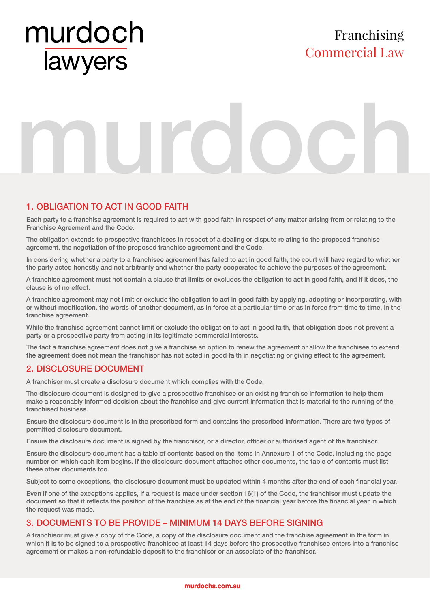# murdoch lawyers

### Franchising Commercial Law

# murdoch

#### 1. OBLIGATION TO ACT IN GOOD FAITH

Each party to a franchise agreement is required to act with good faith in respect of any matter arising from or relating to the Franchise Agreement and the Code.

The obligation extends to prospective franchisees in respect of a dealing or dispute relating to the proposed franchise agreement, the negotiation of the proposed franchise agreement and the Code.

In considering whether a party to a franchisee agreement has failed to act in good faith, the court will have regard to whether the party acted honestly and not arbitrarily and whether the party cooperated to achieve the purposes of the agreement.

A franchise agreement must not contain a clause that limits or excludes the obligation to act in good faith, and if it does, the clause is of no effect.

A franchise agreement may not limit or exclude the obligation to act in good faith by applying, adopting or incorporating, with or without modification, the words of another document, as in force at a particular time or as in force from time to time, in the franchise agreement.

While the franchise agreement cannot limit or exclude the obligation to act in good faith, that obligation does not prevent a party or a prospective party from acting in its legitimate commercial interests.

The fact a franchise agreement does not give a franchise an option to renew the agreement or allow the franchisee to extend the agreement does not mean the franchisor has not acted in good faith in negotiating or giving effect to the agreement.

#### 2. DISCLOSURE DOCUMENT

A franchisor must create a disclosure document which complies with the Code.

The disclosure document is designed to give a prospective franchisee or an existing franchise information to help them make a reasonably informed decision about the franchise and give current information that is material to the running of the franchised business.

Ensure the disclosure document is in the prescribed form and contains the prescribed information. There are two types of permitted disclosure document.

Ensure the disclosure document is signed by the franchisor, or a director, officer or authorised agent of the franchisor.

Ensure the disclosure document has a table of contents based on the items in Annexure 1 of the Code, including the page number on which each item begins. If the disclosure document attaches other documents, the table of contents must list these other documents too.

Subject to some exceptions, the disclosure document must be updated within 4 months after the end of each financial year.

Even if one of the exceptions applies, if a request is made under section 16(1) of the Code, the franchisor must update the document so that it reflects the position of the franchise as at the end of the financial year before the financial year in which the request was made.

#### 3. DOCUMENTS TO BE PROVIDE – MINIMUM 14 DAYS BEFORE SIGNING

A franchisor must give a copy of the Code, a copy of the disclosure document and the franchise agreement in the form in which it is to be signed to a prospective franchisee at least 14 days before the prospective franchisee enters into a franchise agreement or makes a non-refundable deposit to the franchisor or an associate of the franchisor.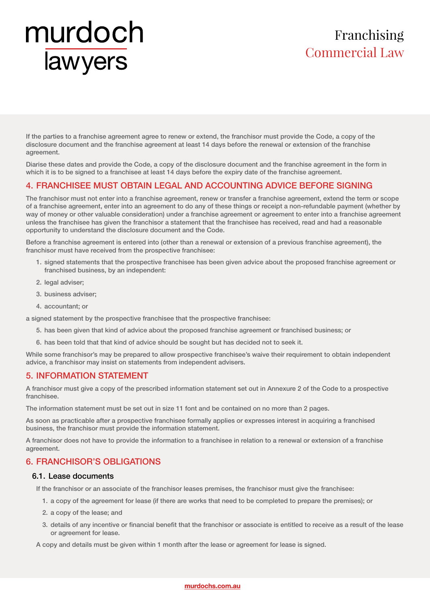### Franchising Commercial Law

If the parties to a franchise agreement agree to renew or extend, the franchisor must provide the Code, a copy of the disclosure document and the franchise agreement at least 14 days before the renewal or extension of the franchise agreement.

Diarise these dates and provide the Code, a copy of the disclosure document and the franchise agreement in the form in which it is to be signed to a franchisee at least 14 days before the expiry date of the franchise agreement.

#### 4. FRANCHISEE MUST OBTAIN LEGAL AND ACCOUNTING ADVICE BEFORE SIGNING

The franchisor must not enter into a franchise agreement, renew or transfer a franchise agreement, extend the term or scope of a franchise agreement, enter into an agreement to do any of these things or receipt a non-refundable payment (whether by way of money or other valuable consideration) under a franchise agreement or agreement to enter into a franchise agreement unless the franchisee has given the franchisor a statement that the franchisee has received, read and had a reasonable opportunity to understand the disclosure document and the Code.

Before a franchise agreement is entered into (other than a renewal or extension of a previous franchise agreement), the franchisor must have received from the prospective franchisee:

- 1. signed statements that the prospective franchisee has been given advice about the proposed franchise agreement or franchised business, by an independent:
- 2. legal adviser;
- 3. business adviser;
- 4. accountant; or

a signed statement by the prospective franchisee that the prospective franchisee:

- 5. has been given that kind of advice about the proposed franchise agreement or franchised business; or
- 6. has been told that that kind of advice should be sought but has decided not to seek it.

While some franchisor's may be prepared to allow prospective franchisee's waive their requirement to obtain independent advice, a franchisor may insist on statements from independent advisers.

#### 5. INFORMATION STATEMENT

A franchisor must give a copy of the prescribed information statement set out in Annexure 2 of the Code to a prospective franchisee.

The information statement must be set out in size 11 font and be contained on no more than 2 pages.

As soon as practicable after a prospective franchisee formally applies or expresses interest in acquiring a franchised business, the franchisor must provide the information statement.

A franchisor does not have to provide the information to a franchisee in relation to a renewal or extension of a franchise agreement.

#### 6. FRANCHISOR'S OBLIGATIONS

#### 6.1. Lease documents

If the franchisor or an associate of the franchisor leases premises, the franchisor must give the franchisee:

- 1. a copy of the agreement for lease (if there are works that need to be completed to prepare the premises); or
- 2. a copy of the lease; and
- 3. details of any incentive or financial benefit that the franchisor or associate is entitled to receive as a result of the lease or agreement for lease.

A copy and details must be given within 1 month after the lease or agreement for lease is signed.

#### **murdochs.com.au**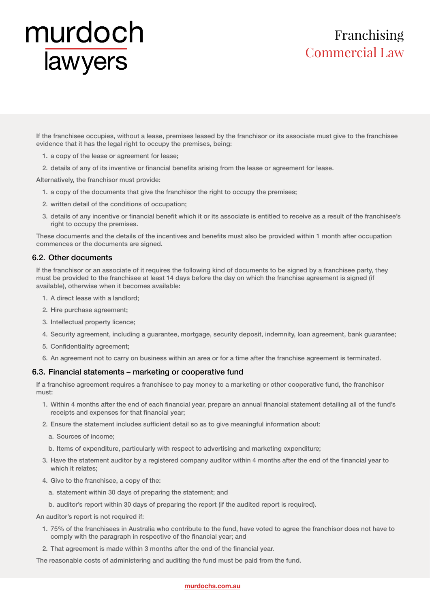# Franchising Commercial Law

If the franchisee occupies, without a lease, premises leased by the franchisor or its associate must give to the franchisee evidence that it has the legal right to occupy the premises, being:

- 1. a copy of the lease or agreement for lease;
- 2. details of any of its inventive or financial benefits arising from the lease or agreement for lease.

Alternatively, the franchisor must provide:

- 1. a copy of the documents that give the franchisor the right to occupy the premises;
- 2. written detail of the conditions of occupation;
- 3. details of any incentive or financial benefit which it or its associate is entitled to receive as a result of the franchisee's right to occupy the premises.

These documents and the details of the incentives and benefits must also be provided within 1 month after occupation commences or the documents are signed.

#### 6.2. Other documents

If the franchisor or an associate of it requires the following kind of documents to be signed by a franchisee party, they must be provided to the franchisee at least 14 days before the day on which the franchise agreement is signed (if available), otherwise when it becomes available:

- 1. A direct lease with a landlord;
- 2. Hire purchase agreement;
- 3. Intellectual property licence;
- 4. Security agreement, including a guarantee, mortgage, security deposit, indemnity, loan agreement, bank guarantee;
- 5. Confidentiality agreement;
- 6. An agreement not to carry on business within an area or for a time after the franchise agreement is terminated.

#### 6.3. Financial statements – marketing or cooperative fund

If a franchise agreement requires a franchisee to pay money to a marketing or other cooperative fund, the franchisor must:

- 1. Within 4 months after the end of each financial year, prepare an annual financial statement detailing all of the fund's receipts and expenses for that financial year;
- 2. Ensure the statement includes sufficient detail so as to give meaningful information about:
	- a. Sources of income;
	- b. Items of expenditure, particularly with respect to advertising and marketing expenditure;
- 3. Have the statement auditor by a registered company auditor within 4 months after the end of the financial year to which it relates;
- 4. Give to the franchisee, a copy of the:
	- a. statement within 30 days of preparing the statement; and
	- b. auditor's report within 30 days of preparing the report (if the audited report is required).

An auditor's report is not required if:

- 1. 75% of the franchisees in Australia who contribute to the fund, have voted to agree the franchisor does not have to comply with the paragraph in respective of the financial year; and
- 2. That agreement is made within 3 months after the end of the financial year.

The reasonable costs of administering and auditing the fund must be paid from the fund.

#### **murdochs.com.au**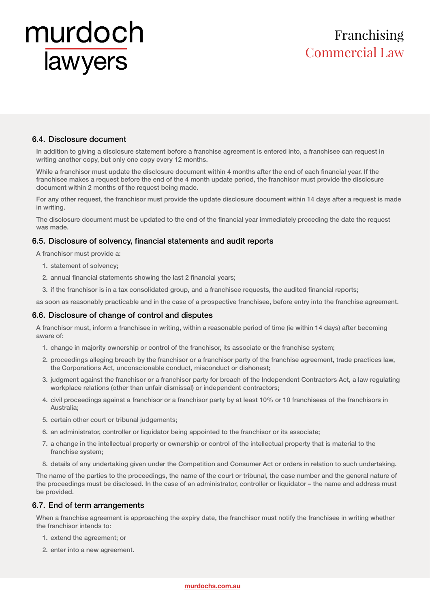### Franchising Commercial Law

#### 6.4. Disclosure document

In addition to giving a disclosure statement before a franchise agreement is entered into, a franchisee can request in writing another copy, but only one copy every 12 months.

While a franchisor must update the disclosure document within 4 months after the end of each financial year. If the franchisee makes a request before the end of the 4 month update period, the franchisor must provide the disclosure document within 2 months of the request being made.

For any other request, the franchisor must provide the update disclosure document within 14 days after a request is made in writing.

The disclosure document must be updated to the end of the financial year immediately preceding the date the request was made.

#### 6.5. Disclosure of solvency, financial statements and audit reports

A franchisor must provide a:

- 1. statement of solvency;
- 2. annual financial statements showing the last 2 financial years;
- 3. if the franchisor is in a tax consolidated group, and a franchisee requests, the audited financial reports;

as soon as reasonably practicable and in the case of a prospective franchisee, before entry into the franchise agreement.

#### 6.6. Disclosure of change of control and disputes

A franchisor must, inform a franchisee in writing, within a reasonable period of time (ie within 14 days) after becoming aware of:

- 1. change in majority ownership or control of the franchisor, its associate or the franchise system;
- 2. proceedings alleging breach by the franchisor or a franchisor party of the franchise agreement, trade practices law, the Corporations Act, unconscionable conduct, misconduct or dishonest;
- 3. judgment against the franchisor or a franchisor party for breach of the Independent Contractors Act, a law regulating workplace relations (other than unfair dismissal) or independent contractors;
- 4. civil proceedings against a franchisor or a franchisor party by at least 10% or 10 franchisees of the franchisors in Australia;
- 5. certain other court or tribunal judgements;
- 6. an administrator, controller or liquidator being appointed to the franchisor or its associate;
- 7. a change in the intellectual property or ownership or control of the intellectual property that is material to the franchise system;
- 8. details of any undertaking given under the Competition and Consumer Act or orders in relation to such undertaking.

The name of the parties to the proceedings, the name of the court or tribunal, the case number and the general nature of the proceedings must be disclosed. In the case of an administrator, controller or liquidator – the name and address must be provided.

#### 6.7. End of term arrangements

When a franchise agreement is approaching the expiry date, the franchisor must notify the franchisee in writing whether the franchisor intends to:

- 1. extend the agreement; or
- 2. enter into a new agreement.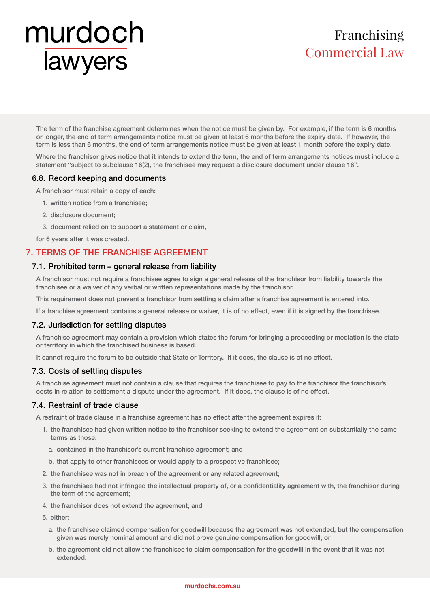# Franchising Commercial Law

The term of the franchise agreement determines when the notice must be given by. For example, if the term is 6 months or longer, the end of term arrangements notice must be given at least 6 months before the expiry date. If however, the term is less than 6 months, the end of term arrangements notice must be given at least 1 month before the expiry date.

Where the franchisor gives notice that it intends to extend the term, the end of term arrangements notices must include a statement "subject to subclause 16(2), the franchisee may request a disclosure document under clause 16".

#### 6.8. Record keeping and documents

A franchisor must retain a copy of each:

- 1. written notice from a franchisee;
- 2. disclosure document;
- 3. document relied on to support a statement or claim,

for 6 years after it was created.

#### 7. TERMS OF THE FRANCHISE AGREEMENT

#### 7.1. Prohibited term – general release from liability

A franchisor must not require a franchisee agree to sign a general release of the franchisor from liability towards the franchisee or a waiver of any verbal or written representations made by the franchisor.

This requirement does not prevent a franchisor from settling a claim after a franchise agreement is entered into.

If a franchise agreement contains a general release or waiver, it is of no effect, even if it is signed by the franchisee.

#### 7.2. Jurisdiction for settling disputes

A franchise agreement may contain a provision which states the forum for bringing a proceeding or mediation is the state or territory in which the franchised business is based.

It cannot require the forum to be outside that State or Territory. If it does, the clause is of no effect.

#### 7.3. Costs of settling disputes

A franchise agreement must not contain a clause that requires the franchisee to pay to the franchisor the franchisor's costs in relation to settlement a dispute under the agreement. If it does, the clause is of no effect.

#### 7.4. Restraint of trade clause

A restraint of trade clause in a franchise agreement has no effect after the agreement expires if:

- 1. the franchisee had given written notice to the franchisor seeking to extend the agreement on substantially the same terms as those:
	- a. contained in the franchisor's current franchise agreement; and
	- b. that apply to other franchisees or would apply to a prospective franchisee;
- 2. the franchisee was not in breach of the agreement or any related agreement;
- 3. the franchisee had not infringed the intellectual property of, or a confidentiality agreement with, the franchisor during the term of the agreement;
- 4. the franchisor does not extend the agreement; and

5. either:

- a. the franchisee claimed compensation for goodwill because the agreement was not extended, but the compensation given was merely nominal amount and did not prove genuine compensation for goodwill; or
- b. the agreement did not allow the franchisee to claim compensation for the goodwill in the event that it was not extended.

#### **murdochs.com.au**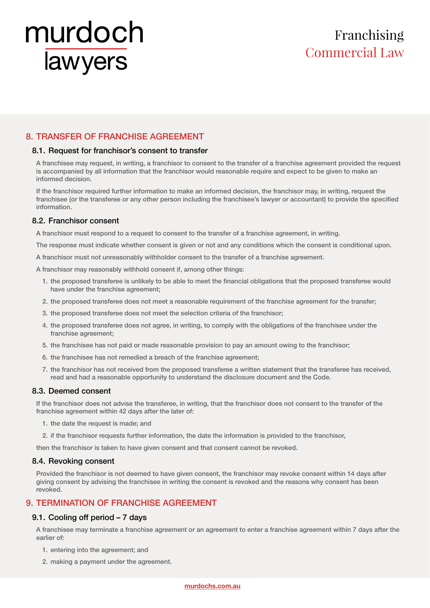# Franchising Commercial Law

#### 8. TRANSFER OF FRANCHISE AGREEMENT

#### 8.1. Request for franchisor's consent to transfer

A franchisee may request, in writing, a franchisor to consent to the transfer of a franchise agreement provided the request is accompanied by all information that the franchisor would reasonable require and expect to be given to make an informed decision.

If the franchisor required further information to make an informed decision, the franchisor may, in writing, request the franchisee (or the transferee or any other person including the franchisee's lawyer or accountant) to provide the specified information.

#### 8.2. Franchisor consent

A franchisor must respond to a request to consent to the transfer of a franchise agreement, in writing.

The response must indicate whether consent is given or not and any conditions which the consent is conditional upon.

A franchisor must not unreasonably withholder consent to the transfer of a franchise agreement.

A franchisor may reasonably withhold consent if, among other things:

- 1. the proposed transferee is unlikely to be able to meet the financial obligations that the proposed transferee would have under the franchise agreement;
- 2. the proposed transferee does not meet a reasonable requirement of the franchise agreement for the transfer;
- 3. the proposed transferee does not meet the selection criteria of the franchisor;
- 4. the proposed transferee does not agree, in writing, to comply with the obligations of the franchisee under the franchise agreement;
- 5. the franchisee has not paid or made reasonable provision to pay an amount owing to the franchisor;
- 6. the franchisee has not remedied a breach of the franchise agreement;
- 7. the franchisor has not received from the proposed transferee a written statement that the transferee has received, read and had a reasonable opportunity to understand the disclosure document and the Code.

#### 8.3. Deemed consent

If the franchisor does not advise the transferee, in writing, that the franchisor does not consent to the transfer of the franchise agreement within 42 days after the later of:

- 1. the date the request is made; and
- 2. if the franchisor requests further information, the date the information is provided to the franchisor,

then the franchisor is taken to have given consent and that consent cannot be revoked.

#### 8.4. Revoking consent

Provided the franchisor is not deemed to have given consent, the franchisor may revoke consent within 14 days after giving consent by advising the franchisee in writing the consent is revoked and the reasons why consent has been revoked.

#### 9. TERMINATION OF FRANCHISE AGREEMENT

#### 9.1. Cooling off period – 7 days

A franchisee may terminate a franchise agreement or an agreement to enter a franchise agreement within 7 days after the earlier of:

- 1. entering into the agreement; and
- 2. making a payment under the agreement.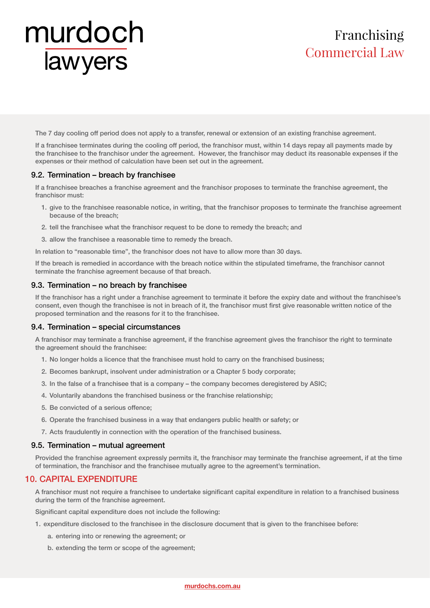### Franchising Commercial Law

The 7 day cooling off period does not apply to a transfer, renewal or extension of an existing franchise agreement.

If a franchisee terminates during the cooling off period, the franchisor must, within 14 days repay all payments made by the franchisee to the franchisor under the agreement. However, the franchisor may deduct its reasonable expenses if the expenses or their method of calculation have been set out in the agreement.

#### 9.2. Termination – breach by franchisee

If a franchisee breaches a franchise agreement and the franchisor proposes to terminate the franchise agreement, the franchisor must:

- 1. give to the franchisee reasonable notice, in writing, that the franchisor proposes to terminate the franchise agreement because of the breach;
- 2. tell the franchisee what the franchisor request to be done to remedy the breach; and
- 3. allow the franchisee a reasonable time to remedy the breach.

In relation to "reasonable time", the franchisor does not have to allow more than 30 days.

If the breach is remedied in accordance with the breach notice within the stipulated timeframe, the franchisor cannot terminate the franchise agreement because of that breach.

#### 9.3. Termination – no breach by franchisee

If the franchisor has a right under a franchise agreement to terminate it before the expiry date and without the franchisee's consent, even though the franchisee is not in breach of it, the franchisor must first give reasonable written notice of the proposed termination and the reasons for it to the franchisee.

#### 9.4. Termination – special circumstances

A franchisor may terminate a franchise agreement, if the franchise agreement gives the franchisor the right to terminate the agreement should the franchisee:

- 1. No longer holds a licence that the franchisee must hold to carry on the franchised business;
- 2. Becomes bankrupt, insolvent under administration or a Chapter 5 body corporate;
- 3. In the false of a franchisee that is a company the company becomes deregistered by ASIC;
- 4. Voluntarily abandons the franchised business or the franchise relationship;
- 5. Be convicted of a serious offence;
- 6. Operate the franchised business in a way that endangers public health or safety; or
- 7. Acts fraudulently in connection with the operation of the franchised business.

#### 9.5. Termination – mutual agreement

Provided the franchise agreement expressly permits it, the franchisor may terminate the franchise agreement, if at the time of termination, the franchisor and the franchisee mutually agree to the agreement's termination.

#### 10. CAPITAL EXPENDITURE

A franchisor must not require a franchisee to undertake significant capital expenditure in relation to a franchised business during the term of the franchise agreement.

Significant capital expenditure does not include the following:

- 1. expenditure disclosed to the franchisee in the disclosure document that is given to the franchisee before:
	- a. entering into or renewing the agreement; or
	- b. extending the term or scope of the agreement;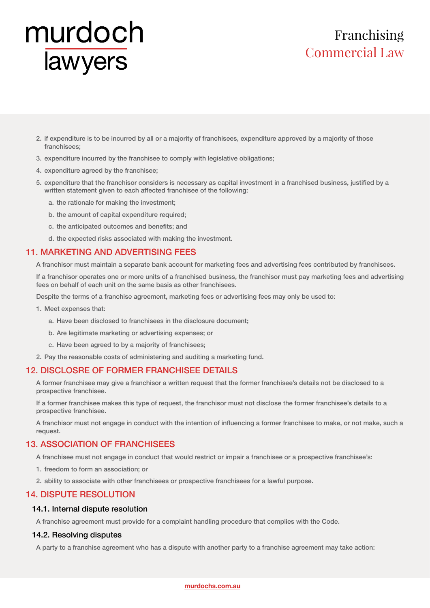## Franchising Commercial Law

- 2. if expenditure is to be incurred by all or a majority of franchisees, expenditure approved by a majority of those franchisees;
- 3. expenditure incurred by the franchisee to comply with legislative obligations;
- 4. expenditure agreed by the franchisee;
- 5. expenditure that the franchisor considers is necessary as capital investment in a franchised business, justified by a written statement given to each affected franchisee of the following:
	- a. the rationale for making the investment;
	- b. the amount of capital expenditure required;
	- c. the anticipated outcomes and benefits; and
	- d. the expected risks associated with making the investment.

#### 11. MARKETING AND ADVERTISING FEES

A franchisor must maintain a separate bank account for marketing fees and advertising fees contributed by franchisees.

If a franchisor operates one or more units of a franchised business, the franchisor must pay marketing fees and advertising fees on behalf of each unit on the same basis as other franchisees.

Despite the terms of a franchise agreement, marketing fees or advertising fees may only be used to:

- 1. Meet expenses that:
	- a. Have been disclosed to franchisees in the disclosure document;
	- b. Are legitimate marketing or advertising expenses; or
	- c. Have been agreed to by a majority of franchisees;
- 2. Pay the reasonable costs of administering and auditing a marketing fund.

#### 12. DISCLOSRE OF FORMER FRANCHISEE DETAILS

A former franchisee may give a franchisor a written request that the former franchisee's details not be disclosed to a prospective franchisee.

If a former franchisee makes this type of request, the franchisor must not disclose the former franchisee's details to a prospective franchisee.

A franchisor must not engage in conduct with the intention of influencing a former franchisee to make, or not make, such a request.

#### 13. ASSOCIATION OF FRANCHISEES

A franchisee must not engage in conduct that would restrict or impair a franchisee or a prospective franchisee's:

- 1. freedom to form an association; or
- 2. ability to associate with other franchisees or prospective franchisees for a lawful purpose.

#### 14. DISPUTE RESOLUTION

#### 14.1. Internal dispute resolution

A franchise agreement must provide for a complaint handling procedure that complies with the Code.

#### 14.2. Resolving disputes

A party to a franchise agreement who has a dispute with another party to a franchise agreement may take action: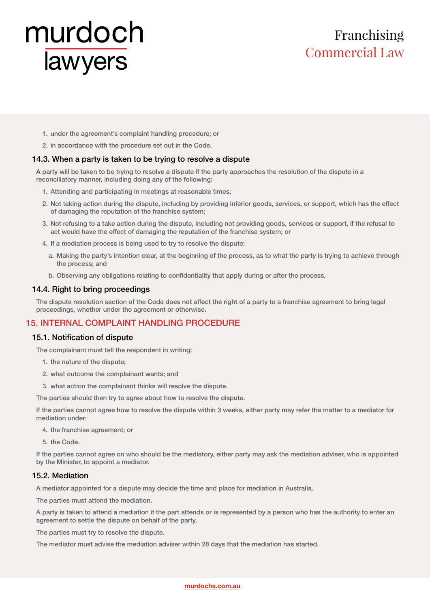### Franchising Commercial Law

- 1. under the agreement's complaint handling procedure; or
- 2. in accordance with the procedure set out in the Code.

#### 14.3. When a party is taken to be trying to resolve a dispute

A party will be taken to be trying to resolve a dispute if the party approaches the resolution of the dispute in a reconciliatory manner, including doing any of the following:

- 1. Attending and participating in meetings at reasonable times;
- 2. Not taking action during the dispute, including by providing inferior goods, services, or support, which has the effect of damaging the reputation of the franchise system;
- 3. Not refusing to a take action during the dispute, including not providing goods, services or support, if the refusal to act would have the effect of damaging the reputation of the franchise system; or
- 4. If a mediation process is being used to try to resolve the dispute:
	- a. Making the party's intention clear, at the beginning of the process, as to what the party is trying to achieve through the process; and
	- b. Observing any obligations relating to confidentiality that apply during or after the process.

#### 14.4. Right to bring proceedings

The dispute resolution section of the Code does not affect the right of a party to a franchise agreement to bring legal proceedings, whether under the agreement or otherwise.

#### 15. INTERNAL COMPLAINT HANDLING PROCEDURE

#### 15.1. Notification of dispute

The complainant must tell the respondent in writing:

- 1. the nature of the dispute;
- 2. what outcome the complainant wants; and
- 3. what action the complainant thinks will resolve the dispute.

The parties should then try to agree about how to resolve the dispute.

If the parties cannot agree how to resolve the dispute within 3 weeks, either party may refer the matter to a mediator for mediation under:

4. the franchise agreement; or

5. the Code.

If the parties cannot agree on who should be the mediatory, either party may ask the mediation adviser, who is appointed by the Minister, to appoint a mediator.

#### 15.2. Mediation

A mediator appointed for a dispute may decide the time and place for mediation in Australia.

The parties must attend the mediation.

A party is taken to attend a mediation if the part attends or is represented by a person who has the authority to enter an agreement to settle the dispute on behalf of the party.

The parties must try to resolve the dispute.

The mediator must advise the mediation adviser within 28 days that the mediation has started.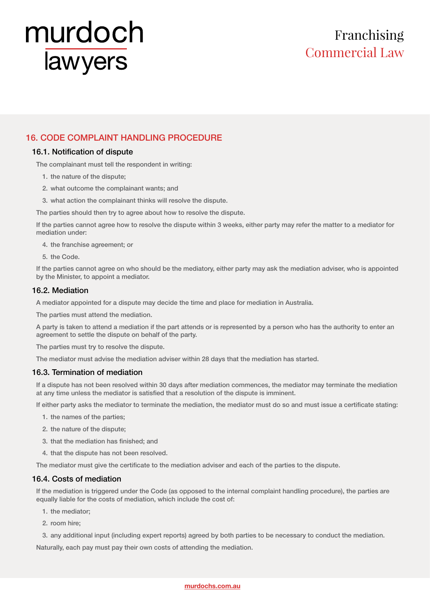# Franchising Commercial Law

#### 16. CODE COMPLAINT HANDLING PROCEDURE

#### 16.1. Notification of dispute

The complainant must tell the respondent in writing:

- 1. the nature of the dispute;
- 2. what outcome the complainant wants; and
- 3. what action the complainant thinks will resolve the dispute.
- The parties should then try to agree about how to resolve the dispute.

If the parties cannot agree how to resolve the dispute within 3 weeks, either party may refer the matter to a mediator for mediation under:

4. the franchise agreement; or

5. the Code.

If the parties cannot agree on who should be the mediatory, either party may ask the mediation adviser, who is appointed by the Minister, to appoint a mediator.

#### 16.2. Mediation

A mediator appointed for a dispute may decide the time and place for mediation in Australia.

The parties must attend the mediation.

A party is taken to attend a mediation if the part attends or is represented by a person who has the authority to enter an agreement to settle the dispute on behalf of the party.

The parties must try to resolve the dispute.

The mediator must advise the mediation adviser within 28 days that the mediation has started.

#### 16.3. Termination of mediation

If a dispute has not been resolved within 30 days after mediation commences, the mediator may terminate the mediation at any time unless the mediator is satisfied that a resolution of the dispute is imminent.

If either party asks the mediator to terminate the mediation, the mediator must do so and must issue a certificate stating:

- 1. the names of the parties;
- 2. the nature of the dispute;
- 3. that the mediation has finished; and
- 4. that the dispute has not been resolved.

The mediator must give the certificate to the mediation adviser and each of the parties to the dispute.

#### 16.4. Costs of mediation

If the mediation is triggered under the Code (as opposed to the internal complaint handling procedure), the parties are equally liable for the costs of mediation, which include the cost of:

- 1. the mediator;
- 2. room hire;
- 3. any additional input (including expert reports) agreed by both parties to be necessary to conduct the mediation.

Naturally, each pay must pay their own costs of attending the mediation.